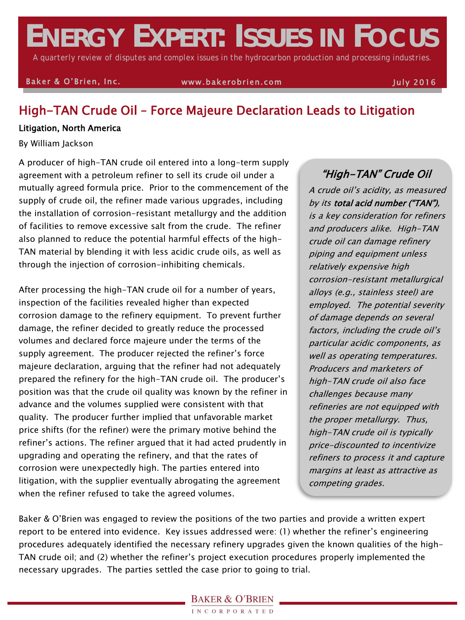# **ENERGY EXPERT: ISSUES IN FOCUS**

*A quarterly review of disputes and complex issues in the hydrocarbon production and processing industries.*

Baker & O'Brien, Inc. www.bakerobrien.com July 2016

# High-TAN Crude Oil – Force Majeure Declaration Leads to Litigation

#### Litigation, North America

#### By William Jackson

A producer of high-TAN crude oil entered into a long-term supply agreement with a petroleum refiner to sell its crude oil under a mutually agreed formula price. Prior to the commencement of the supply of crude oil, the refiner made various upgrades, including the installation of corrosion-resistant metallurgy and the addition of facilities to remove excessive salt from the crude. The refiner also planned to reduce the potential harmful effects of the high-TAN material by blending it with less acidic crude oils, as well as through the injection of corrosion-inhibiting chemicals.

After processing the high-TAN crude oil for a number of years, inspection of the facilities revealed higher than expected corrosion damage to the refinery equipment. To prevent further damage, the refiner decided to greatly reduce the processed volumes and declared force majeure under the terms of the supply agreement. The producer rejected the refiner's force majeure declaration, arguing that the refiner had not adequately prepared the refinery for the high-TAN crude oil. The producer's position was that the crude oil quality was known by the refiner in advance and the volumes supplied were consistent with that quality. The producer further implied that unfavorable market price shifts (for the refiner) were the primary motive behind the refiner's actions. The refiner argued that it had acted prudently in upgrading and operating the refinery, and that the rates of corrosion were unexpectedly high. The parties entered into litigation, with the supplier eventually abrogating the agreement when the refiner refused to take the agreed volumes.

# "High-TAN" Crude Oil

 factors, including the crude oil's A crude oil's acidity, as measured by its total acid number ("TAN"), is a key consideration for refiners and producers alike. High-TAN crude oil can damage refinery piping and equipment unless relatively expensive high corrosion-resistant metallurgical alloys (e.g., stainless steel) are employed. The potential severity of damage depends on several particular acidic components, as well as operating temperatures. Producers and marketers of high-TAN crude oil also face challenges because many refineries are not equipped with the proper metallurgy. Thus, high-TAN crude oil is typically price-discounted to incentivize refiners to process it and capture margins at least as attractive as competing grades.

Baker & O'Brien was engaged to review the positions of the two parties and provide a written expert report to be entered into evidence. Key issues addressed were: (1) whether the refiner's engineering procedures adequately identified the necessary refinery upgrades given the known qualities of the high-TAN crude oil; and (2) whether the refiner's project execution procedures properly implemented the necessary upgrades. The parties settled the case prior to going to trial.

#### **BAKER & O'BRIEN**

INCORPORATED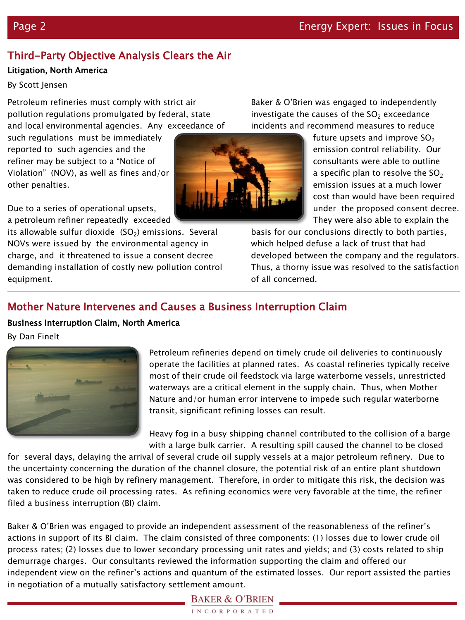# Third-Party Objective Analysis Clears the Air

#### Litigation, North America

By Scott Jensen

Petroleum refineries must comply with strict air pollution regulations promulgated by federal, state and local environmental agencies. Any exceedance of

such regulations must be immediately reported to such agencies and the refiner may be subject to a "Notice of Violation" (NOV), as well as fines and/or other penalties.

Due to a series of operational upsets, a petroleum refiner repeatedly exceeded

its allowable sulfur dioxide  $(SO<sub>2</sub>)$  emissions. Several NOVs were issued by the environmental agency in charge, and it threatened to issue a consent decree demanding installation of costly new pollution control equipment.

Baker & O'Brien was engaged to independently investigate the causes of the  $SO<sub>2</sub>$  exceedance incidents and recommend measures to reduce

future upsets and improve  $SO<sub>2</sub>$ emission control reliability. Our consultants were able to outline a specific plan to resolve the  $SO<sub>2</sub>$ emission issues at a much lower cost than would have been required under the proposed consent decree. They were also able to explain the

basis for our conclusions directly to both parties, which helped defuse a lack of trust that had developed between the company and the regulators. Thus, a thorny issue was resolved to the satisfaction of all concerned.

### Mother Nature Intervenes and Causes a Business Interruption Claim

#### Business Interruption Claim, North America

By Dan Finelt



Petroleum refineries depend on timely crude oil deliveries to continuously operate the facilities at planned rates. As coastal refineries typically receive most of their crude oil feedstock via large waterborne vessels, unrestricted waterways are a critical element in the supply chain. Thus, when Mother Nature and/or human error intervene to impede such regular waterborne transit, significant refining losses can result.

Heavy fog in a busy shipping channel contributed to the collision of a barge with a large bulk carrier. A resulting spill caused the channel to be closed

for several days, delaying the arrival of several crude oil supply vessels at a major petroleum refinery. Due to the uncertainty concerning the duration of the channel closure, the potential risk of an entire plant shutdown was considered to be high by refinery management. Therefore, in order to mitigate this risk, the decision was taken to reduce crude oil processing rates. As refining economics were very favorable at the time, the refiner filed a business interruption (BI) claim.

l

Baker & O'Brien was engaged to provide an independent assessment of the reasonableness of the refiner's actions in support of its BI claim. The claim consisted of three components: (1) losses due to lower crude oil process rates; (2) losses due to lower secondary processing unit rates and yields; and (3) costs related to ship demurrage charges. Our consultants reviewed the information supporting the claim and offered our independent view on the refiner's actions and quantum of the estimated losses. Our report assisted the parties in negotiation of a mutually satisfactory settlement amount.

# **BAKER & O'BRIEN**

INCORPORATED